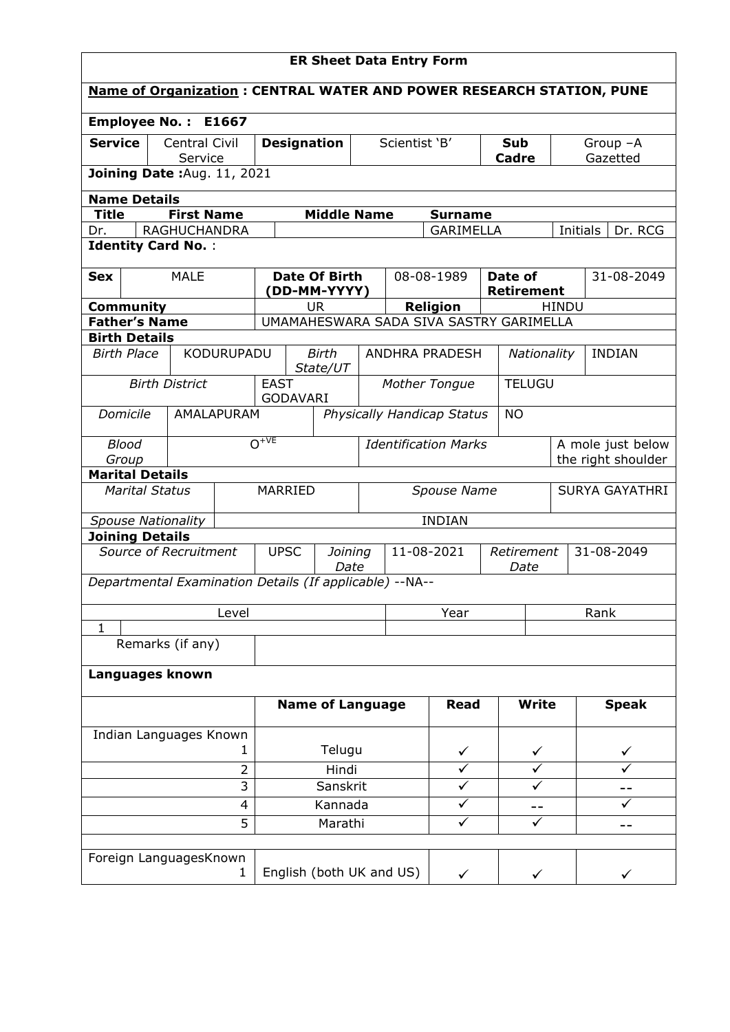| <b>ER Sheet Data Entry Form</b>                         |  |                          |             |             |                                     |                    |   |                                  |                                         |                              |               |                       |                                                                             |
|---------------------------------------------------------|--|--------------------------|-------------|-------------|-------------------------------------|--------------------|---|----------------------------------|-----------------------------------------|------------------------------|---------------|-----------------------|-----------------------------------------------------------------------------|
|                                                         |  |                          |             |             |                                     |                    |   |                                  |                                         |                              |               |                       | <b>Name of Organization: CENTRAL WATER AND POWER RESEARCH STATION, PUNE</b> |
| Employee No.: E1667                                     |  |                          |             |             |                                     |                    |   |                                  |                                         |                              |               |                       |                                                                             |
| Service                                                 |  | Central Civil<br>Service |             |             | <b>Designation</b>                  |                    |   | Scientist 'B'                    |                                         | <b>Sub</b><br><b>Cadre</b>   |               |                       | Group -A<br>Gazetted                                                        |
| Joining Date: Aug. 11, 2021                             |  |                          |             |             |                                     |                    |   |                                  |                                         |                              |               |                       |                                                                             |
| <b>Name Details</b>                                     |  |                          |             |             |                                     |                    |   |                                  |                                         |                              |               |                       |                                                                             |
| <b>Title</b>                                            |  | <b>First Name</b>        |             |             |                                     | <b>Middle Name</b> |   |                                  | <b>Surname</b>                          |                              |               |                       |                                                                             |
| Dr.                                                     |  | <b>RAGHUCHANDRA</b>      |             |             |                                     |                    |   |                                  | <b>GARIMELLA</b>                        |                              |               | Initials              | Dr. RCG                                                                     |
| <b>Identity Card No.:</b>                               |  |                          |             |             |                                     |                    |   |                                  |                                         |                              |               |                       |                                                                             |
| <b>Sex</b>                                              |  | <b>MALE</b>              |             |             | <b>Date Of Birth</b><br>DD-MM-YYYY) |                    |   |                                  | 08-08-1989                              | Date of<br><b>Retirement</b> |               |                       | 31-08-2049                                                                  |
| <b>Community</b>                                        |  |                          |             |             | UR.                                 |                    |   |                                  | <b>Religion</b>                         |                              |               | <b>HINDU</b>          |                                                                             |
| <b>Father's Name</b>                                    |  |                          |             |             |                                     |                    |   |                                  | UMAMAHESWARA SADA SIVA SASTRY GARIMELLA |                              |               |                       |                                                                             |
| <b>Birth Details</b><br><b>Birth Place</b>              |  | KODURUPADU               |             |             | <b>Birth</b>                        |                    |   |                                  | ANDHRA PRADESH                          |                              | Nationality   |                       | <b>INDIAN</b>                                                               |
|                                                         |  |                          |             |             | State/UT                            |                    |   |                                  |                                         |                              |               |                       |                                                                             |
|                                                         |  | <b>Birth District</b>    |             | <b>EAST</b> | <b>GODAVARI</b>                     |                    |   | Mother Tongue                    |                                         |                              | <b>TELUGU</b> |                       |                                                                             |
| Domicile                                                |  | AMALAPURAM               |             |             |                                     |                    |   |                                  | Physically Handicap Status              | <b>NO</b>                    |               |                       |                                                                             |
| <b>Blood</b>                                            |  |                          |             | $O_{+VE}$   |                                     |                    |   |                                  | <b>Identification Marks</b>             |                              |               |                       | A mole just below                                                           |
| Group<br><b>Marital Details</b>                         |  |                          |             |             |                                     |                    |   |                                  |                                         |                              |               | the right shoulder    |                                                                             |
| <b>Marital Status</b>                                   |  |                          |             | MARRIED     |                                     |                    |   | Spouse Name                      |                                         |                              |               | <b>SURYA GAYATHRI</b> |                                                                             |
| <b>Spouse Nationality</b>                               |  |                          |             |             | <b>INDIAN</b>                       |                    |   |                                  |                                         |                              |               |                       |                                                                             |
| <b>Joining Details</b>                                  |  |                          |             |             |                                     |                    |   |                                  |                                         |                              |               |                       |                                                                             |
| Source of Recruitment                                   |  |                          |             |             | <b>UPSC</b><br>Joining<br>Date      |                    |   | 11-08-2021<br>Retirement<br>Date |                                         |                              | 31-08-2049    |                       |                                                                             |
| Departmental Examination Details (If applicable) --NA-- |  |                          |             |             |                                     |                    |   |                                  |                                         |                              |               |                       |                                                                             |
|                                                         |  |                          | Level       |             |                                     |                    |   | Year                             |                                         |                              |               |                       | Rank                                                                        |
| $\mathbf{1}$                                            |  |                          |             |             |                                     |                    |   |                                  |                                         |                              |               |                       |                                                                             |
|                                                         |  | Remarks (if any)         |             |             |                                     |                    |   |                                  |                                         |                              |               |                       |                                                                             |
| Languages known                                         |  |                          |             |             |                                     |                    |   |                                  |                                         |                              |               |                       |                                                                             |
|                                                         |  |                          |             |             | <b>Name of Language</b>             |                    |   |                                  | <b>Read</b>                             |                              | <b>Write</b>  |                       | <b>Speak</b>                                                                |
| Indian Languages Known                                  |  |                          |             |             |                                     |                    |   |                                  |                                         |                              |               |                       |                                                                             |
| 1                                                       |  |                          |             | Telugu      |                                     |                    | ✓ |                                  | ✓                                       |                              |               |                       |                                                                             |
| 2                                                       |  |                          |             |             | Hindi                               |                    |   |                                  |                                         |                              |               |                       |                                                                             |
| 3                                                       |  |                          |             |             |                                     | Sanskrit           |   |                                  | ✓                                       |                              |               |                       |                                                                             |
| 4                                                       |  |                          | 5           |             |                                     | Kannada<br>Marathi |   |                                  | ✓                                       | --<br>✓                      |               |                       |                                                                             |
|                                                         |  |                          |             |             |                                     |                    |   |                                  |                                         |                              |               |                       | $- -$                                                                       |
| Foreign LanguagesKnown                                  |  |                          | $\mathbf 1$ |             |                                     |                    |   | English (both UK and US)         | ✓                                       |                              | ✓             |                       |                                                                             |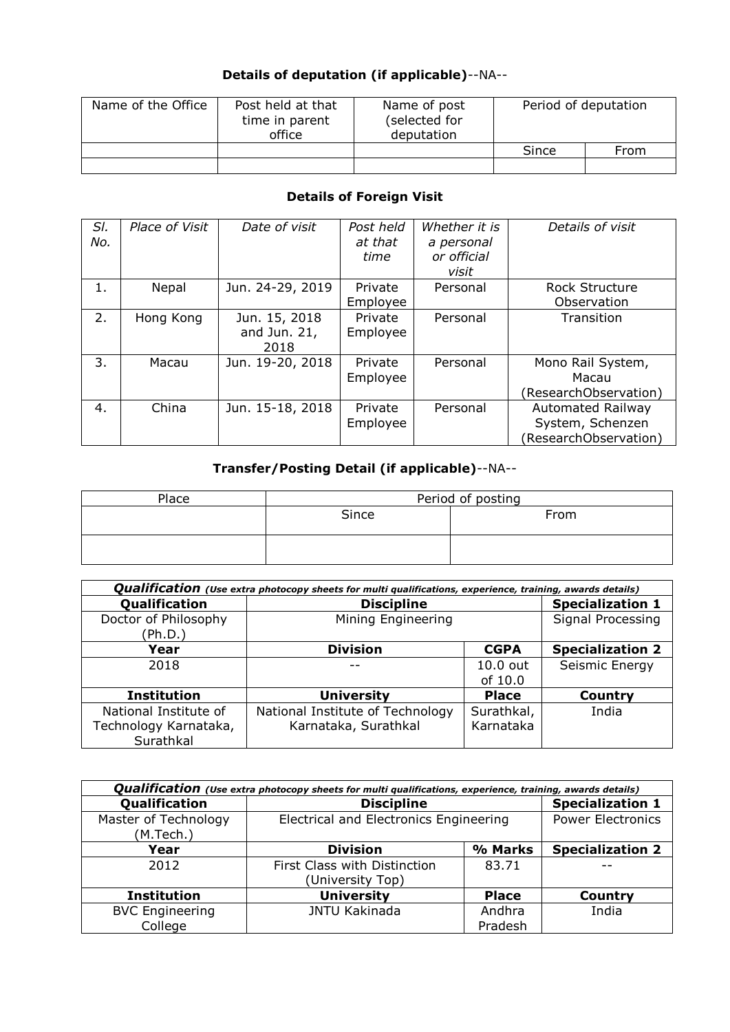# **Details of deputation (if applicable)**--NA--

| Name of the Office | Post held at that<br>time in parent<br>office | Name of post<br>(selected for<br>deputation | Period of deputation |      |  |
|--------------------|-----------------------------------------------|---------------------------------------------|----------------------|------|--|
|                    |                                               |                                             | Since                | From |  |
|                    |                                               |                                             |                      |      |  |

# **Details of Foreign Visit**

| SI.<br>No. | Place of Visit | Date of visit                         | Post held<br>at that<br>time | Whether it is<br>a personal<br>or official<br>visit | Details of visit                                                      |
|------------|----------------|---------------------------------------|------------------------------|-----------------------------------------------------|-----------------------------------------------------------------------|
| 1.         | Nepal          | Jun. 24-29, 2019                      | Private<br>Employee          | Personal                                            | <b>Rock Structure</b><br>Observation                                  |
| 2.         | Hong Kong      | Jun. 15, 2018<br>and Jun. 21,<br>2018 | Private<br>Employee          | Personal                                            | Transition                                                            |
| 3.         | Macau          | Jun. 19-20, 2018                      | Private<br>Employee          | Personal                                            | Mono Rail System,<br>Macau<br>(ResearchObservation)                   |
| 4.         | China          | Jun. 15-18, 2018                      | Private<br>Employee          | Personal                                            | <b>Automated Railway</b><br>System, Schenzen<br>(ResearchObservation) |

# **Transfer/Posting Detail (if applicable)**--NA--

| Place | Period of posting |      |  |  |  |
|-------|-------------------|------|--|--|--|
|       | Since             | From |  |  |  |
|       |                   |      |  |  |  |

| <b>Qualification</b> (Use extra photocopy sheets for multi qualifications, experience, training, awards details) |                                  |                   |                         |  |  |  |  |
|------------------------------------------------------------------------------------------------------------------|----------------------------------|-------------------|-------------------------|--|--|--|--|
| Qualification                                                                                                    | <b>Discipline</b>                |                   | <b>Specialization 1</b> |  |  |  |  |
| Doctor of Philosophy<br>(Ph.D.)                                                                                  | Mining Engineering               | Signal Processing |                         |  |  |  |  |
| Year                                                                                                             | <b>Division</b>                  | <b>CGPA</b>       | <b>Specialization 2</b> |  |  |  |  |
| 2018                                                                                                             |                                  | $10.0$ out        | Seismic Energy          |  |  |  |  |
|                                                                                                                  |                                  | of 10.0           |                         |  |  |  |  |
| <b>Institution</b>                                                                                               | <b>University</b>                | <b>Place</b>      | Country                 |  |  |  |  |
| National Institute of                                                                                            | National Institute of Technology | Surathkal,        | India                   |  |  |  |  |
| Technology Karnataka,                                                                                            | Karnataka, Surathkal             | Karnataka         |                         |  |  |  |  |
| Surathkal                                                                                                        |                                  |                   |                         |  |  |  |  |

| <b>Qualification</b> (Use extra photocopy sheets for multi qualifications, experience, training, awards details) |                                                  |                          |                         |  |  |  |  |  |
|------------------------------------------------------------------------------------------------------------------|--------------------------------------------------|--------------------------|-------------------------|--|--|--|--|--|
| Qualification                                                                                                    | <b>Discipline</b>                                |                          | <b>Specialization 1</b> |  |  |  |  |  |
| Master of Technology<br>(M.Tech.)                                                                                | Electrical and Electronics Engineering           | <b>Power Electronics</b> |                         |  |  |  |  |  |
| Year                                                                                                             | <b>Division</b>                                  | % Marks                  | <b>Specialization 2</b> |  |  |  |  |  |
| 2012                                                                                                             | First Class with Distinction<br>(University Top) | 83.71                    |                         |  |  |  |  |  |
| <b>Institution</b>                                                                                               | <b>University</b>                                | <b>Place</b>             | Country                 |  |  |  |  |  |
| <b>BVC Engineering</b>                                                                                           | <b>JNTU Kakinada</b>                             | Andhra                   | India                   |  |  |  |  |  |
| College                                                                                                          |                                                  | Pradesh                  |                         |  |  |  |  |  |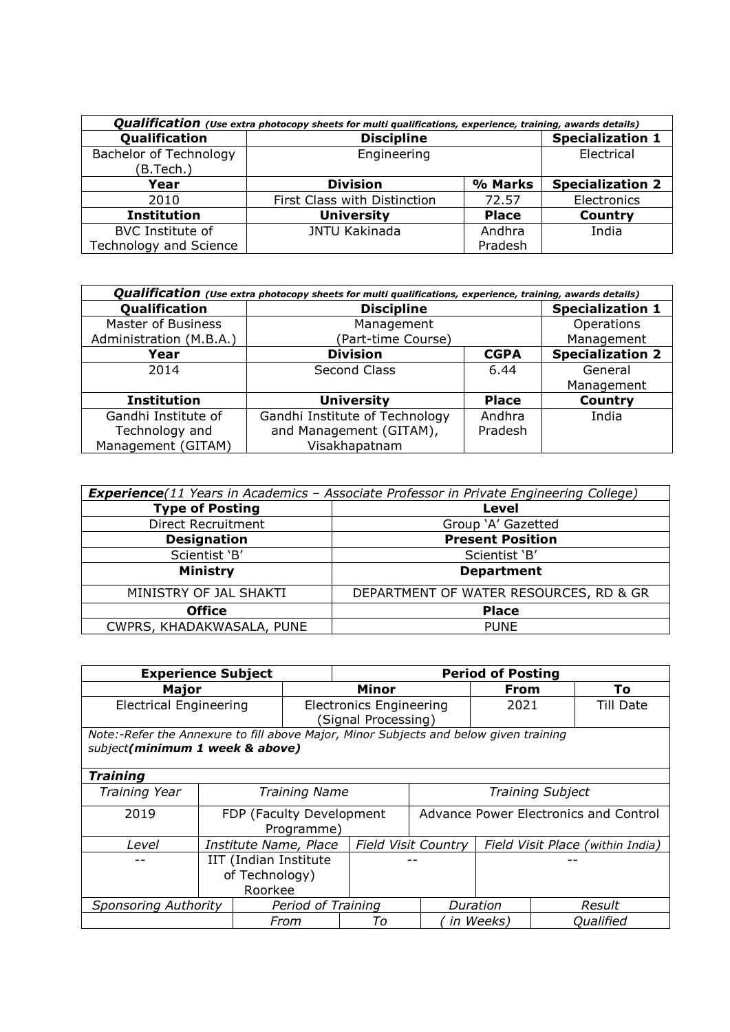| <b>Qualification</b> (Use extra photocopy sheets for multi qualifications, experience, training, awards details) |                              |              |                         |  |  |  |  |  |
|------------------------------------------------------------------------------------------------------------------|------------------------------|--------------|-------------------------|--|--|--|--|--|
| Qualification                                                                                                    | <b>Discipline</b>            |              | <b>Specialization 1</b> |  |  |  |  |  |
| Bachelor of Technology                                                                                           | Engineering                  | Electrical   |                         |  |  |  |  |  |
| (B.Tech.)                                                                                                        |                              |              |                         |  |  |  |  |  |
| Year                                                                                                             | <b>Division</b>              | % Marks      | <b>Specialization 2</b> |  |  |  |  |  |
| 2010                                                                                                             | First Class with Distinction | 72.57        | Electronics             |  |  |  |  |  |
| <b>Institution</b>                                                                                               | <b>University</b>            | <b>Place</b> | <b>Country</b>          |  |  |  |  |  |
| <b>BVC</b> Institute of                                                                                          | <b>JNTU Kakinada</b>         | Andhra       | India                   |  |  |  |  |  |
| Technology and Science                                                                                           |                              | Pradesh      |                         |  |  |  |  |  |

| <b>Qualification</b> (Use extra photocopy sheets for multi qualifications, experience, training, awards details) |                                |                         |                         |  |  |  |  |
|------------------------------------------------------------------------------------------------------------------|--------------------------------|-------------------------|-------------------------|--|--|--|--|
| Qualification                                                                                                    | <b>Discipline</b>              |                         | <b>Specialization 1</b> |  |  |  |  |
| <b>Master of Business</b>                                                                                        | Management                     |                         | Operations              |  |  |  |  |
| Administration (M.B.A.)                                                                                          | (Part-time Course)             |                         | Management              |  |  |  |  |
| Year                                                                                                             | <b>Division</b>                | <b>Specialization 2</b> |                         |  |  |  |  |
| 2014                                                                                                             | Second Class                   | 6.44                    | General                 |  |  |  |  |
|                                                                                                                  |                                |                         | Management              |  |  |  |  |
| <b>Institution</b>                                                                                               | <b>University</b>              | <b>Place</b>            | Country                 |  |  |  |  |
| Gandhi Institute of                                                                                              | Gandhi Institute of Technology | Andhra                  | India                   |  |  |  |  |
| Technology and                                                                                                   | and Management (GITAM),        |                         |                         |  |  |  |  |
| Management (GITAM)                                                                                               | Visakhapatnam                  |                         |                         |  |  |  |  |

| <b>Experience</b> (11 Years in Academics - Associate Professor in Private Engineering College) |                                        |  |  |  |  |
|------------------------------------------------------------------------------------------------|----------------------------------------|--|--|--|--|
| <b>Type of Posting</b>                                                                         | Level                                  |  |  |  |  |
| Direct Recruitment                                                                             | Group 'A' Gazetted                     |  |  |  |  |
| <b>Designation</b>                                                                             | <b>Present Position</b>                |  |  |  |  |
| Scientist 'B'                                                                                  | Scientist 'B'                          |  |  |  |  |
| <b>Ministry</b>                                                                                | <b>Department</b>                      |  |  |  |  |
| MINISTRY OF JAL SHAKTI                                                                         | DEPARTMENT OF WATER RESOURCES, RD & GR |  |  |  |  |
| <b>Office</b>                                                                                  | <b>Place</b>                           |  |  |  |  |
| CWPRS, KHADAKWASALA, PUNE                                                                      | <b>PUNE</b>                            |  |  |  |  |

| <b>Experience Subject</b>     |                                                                                                                          |                          |                                                       | <b>Period of Posting</b> |                                                                |           |  |                  |
|-------------------------------|--------------------------------------------------------------------------------------------------------------------------|--------------------------|-------------------------------------------------------|--------------------------|----------------------------------------------------------------|-----------|--|------------------|
| Major                         |                                                                                                                          |                          |                                                       | <b>Minor</b><br>From     |                                                                |           |  | To               |
| <b>Electrical Engineering</b> |                                                                                                                          |                          | <b>Electronics Engineering</b><br>(Signal Processing) |                          |                                                                | 2021      |  | <b>Till Date</b> |
|                               | Note:-Refer the Annexure to fill above Major, Minor Subjects and below given training<br>subject(minimum 1 week & above) |                          |                                                       |                          |                                                                |           |  |                  |
| <b>Training</b>               |                                                                                                                          |                          |                                                       |                          |                                                                |           |  |                  |
| Training Year                 |                                                                                                                          | <b>Training Name</b>     |                                                       |                          | <b>Training Subject</b>                                        |           |  |                  |
| 2019                          |                                                                                                                          | FDP (Faculty Development | Programme)                                            |                          | Advance Power Electronics and Control                          |           |  |                  |
| Level                         |                                                                                                                          | Institute Name, Place    |                                                       |                          | <b>Field Visit Country</b><br>Field Visit Place (within India) |           |  |                  |
|                               | IIT (Indian Institute<br>of Technology)<br>Roorkee                                                                       |                          |                                                       |                          |                                                                |           |  |                  |
| <b>Sponsoring Authority</b>   |                                                                                                                          |                          | Period of Training                                    |                          |                                                                | Duration  |  | Result           |
|                               |                                                                                                                          | From                     |                                                       | To                       |                                                                | in Weeks) |  | <b>Qualified</b> |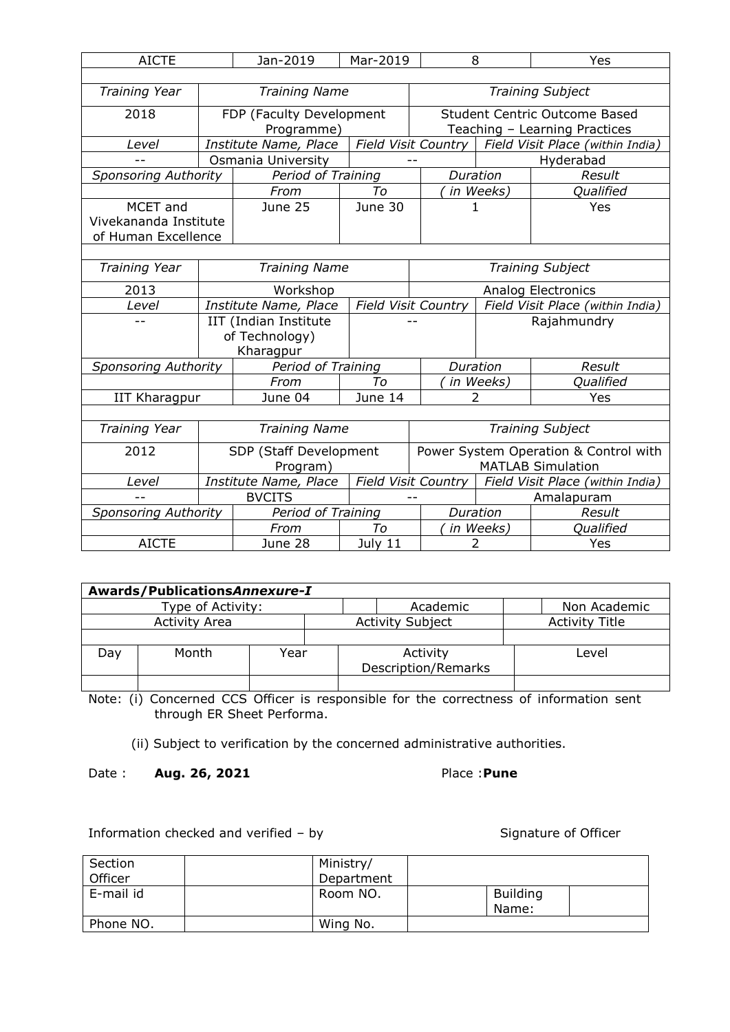| <b>AICTE</b>                          |  | Jan-2019                 | Mar-2019                | 8                                     |                                  | Yes                                  |  |
|---------------------------------------|--|--------------------------|-------------------------|---------------------------------------|----------------------------------|--------------------------------------|--|
|                                       |  |                          |                         |                                       |                                  |                                      |  |
| Training Year                         |  | <b>Training Name</b>     | <b>Training Subject</b> |                                       |                                  |                                      |  |
| 2018                                  |  | FDP (Faculty Development |                         |                                       |                                  | <b>Student Centric Outcome Based</b> |  |
|                                       |  | Programme)               |                         |                                       |                                  | Teaching - Learning Practices        |  |
| Level                                 |  | Institute Name, Place    |                         | Field Visit Country                   |                                  | Field Visit Place (within India)     |  |
|                                       |  | Osmania University       |                         |                                       |                                  | Hyderabad                            |  |
| <b>Sponsoring Authority</b>           |  | Period of Training       |                         | Duration                              |                                  | Result                               |  |
|                                       |  | From                     | Тo                      |                                       | in Weeks)                        | Qualified                            |  |
| MCET and                              |  | June 25                  | June 30                 | 1                                     |                                  | Yes                                  |  |
| Vivekananda Institute                 |  |                          |                         |                                       |                                  |                                      |  |
| of Human Excellence                   |  |                          |                         |                                       |                                  |                                      |  |
|                                       |  |                          |                         |                                       |                                  |                                      |  |
| Training Year                         |  | <b>Training Name</b>     |                         | <b>Training Subject</b>               |                                  |                                      |  |
| 2013                                  |  | Workshop                 |                         |                                       |                                  | <b>Analog Electronics</b>            |  |
| Level                                 |  | Institute Name, Place    |                         | <b>Field Visit Country</b>            | Field Visit Place (within India) |                                      |  |
|                                       |  | IIT (Indian Institute    |                         |                                       | Rajahmundry                      |                                      |  |
|                                       |  | of Technology)           |                         |                                       |                                  |                                      |  |
|                                       |  | Kharagpur                |                         |                                       |                                  |                                      |  |
| <b>Sponsoring Authority</b>           |  | Period of Training       |                         | Duration                              |                                  | Result                               |  |
|                                       |  | From                     | Tο                      |                                       | in Weeks)                        | Qualified                            |  |
| <b>IIT Kharagpur</b>                  |  | June 04                  | June 14                 | 2                                     |                                  | Yes                                  |  |
|                                       |  |                          |                         |                                       |                                  |                                      |  |
| Training Year<br><b>Training Name</b> |  |                          |                         | <b>Training Subject</b>               |                                  |                                      |  |
| 2012                                  |  | SDP (Staff Development   |                         | Power System Operation & Control with |                                  |                                      |  |
|                                       |  | Program)                 |                         | <b>MATLAB Simulation</b>              |                                  |                                      |  |
| Level                                 |  | Institute Name, Place    |                         | <b>Field Visit Country</b>            |                                  | Field Visit Place (within India)     |  |
|                                       |  | <b>BVCITS</b>            |                         |                                       |                                  | Amalapuram                           |  |
| <b>Sponsoring Authority</b>           |  | Period of Training       |                         | Duration                              |                                  | Result                               |  |
|                                       |  | From                     | Тo                      |                                       | in Weeks)                        | Qualified                            |  |
| <b>AICTE</b>                          |  | June 28                  | July 11                 | 2                                     |                                  | Yes                                  |  |

| Awards/PublicationsAnnexure-I |                   |      |  |                                        |                       |  |  |  |  |
|-------------------------------|-------------------|------|--|----------------------------------------|-----------------------|--|--|--|--|
|                               | Type of Activity: |      |  | Academic                               | Non Academic          |  |  |  |  |
| <b>Activity Area</b>          |                   |      |  | <b>Activity Subject</b>                | <b>Activity Title</b> |  |  |  |  |
|                               |                   |      |  |                                        |                       |  |  |  |  |
| Dav                           | Month             | Year |  | Activity<br><b>Description/Remarks</b> | Level                 |  |  |  |  |
|                               |                   |      |  |                                        |                       |  |  |  |  |

Note: (i) Concerned CCS Officer is responsible for the correctness of information sent through ER Sheet Performa.

(ii) Subject to verification by the concerned administrative authorities.

Date : **Aug. 26, 2021** Place :**Pune** 

Information checked and verified – by Signature of Officer

| Section   | Ministry/  |                          |  |
|-----------|------------|--------------------------|--|
| Officer   | Department |                          |  |
| E-mail id | Room NO.   | <b>Building</b><br>Name: |  |
| Phone NO. | Wing No.   |                          |  |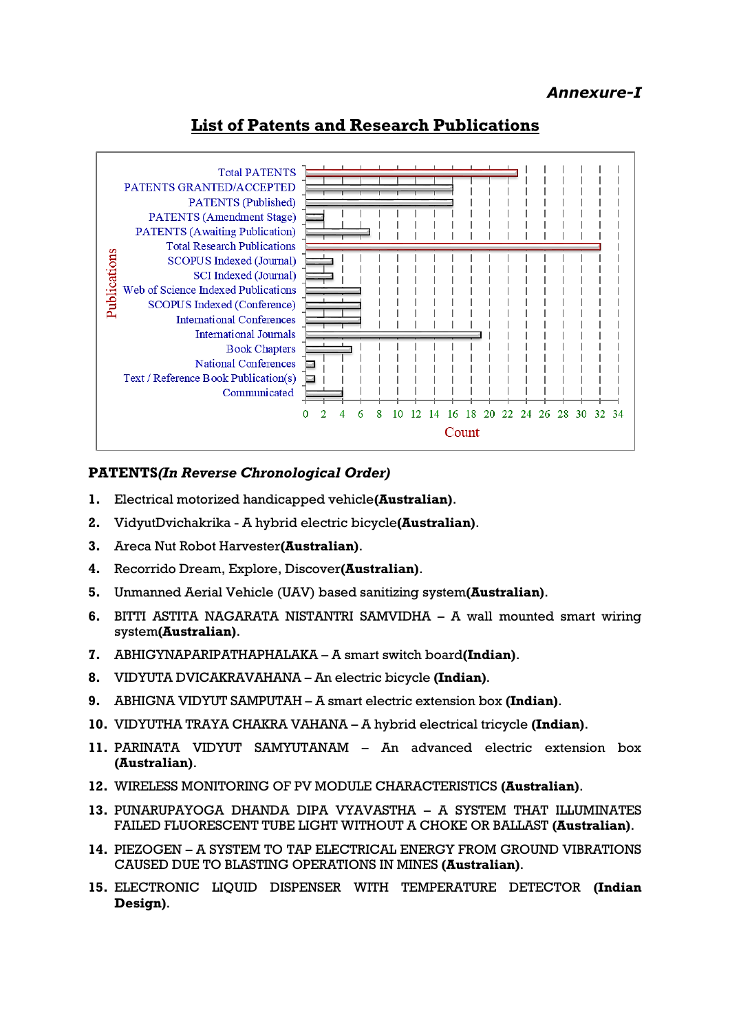## *Annexure-I*

# **List of Patents and Research Publications**



## **PATENTS***(In Reverse Chronological Order)*

- **1.** Electrical motorized handicapped vehicle**(Australian)**.
- **2.** VidyutDvichakrika A hybrid electric bicycle**(Australian)**.
- **3.** Areca Nut Robot Harvester**(Australian)**.
- **4.** Recorrido Dream, Explore, Discover**(Australian)**.
- **5.** Unmanned Aerial Vehicle (UAV) based sanitizing system**(Australian)**.
- **6.** BITTI ASTITA NAGARATA NISTANTRI SAMVIDHA A wall mounted smart wiring system**(Australian)**.
- **7.** ABHIGYNAPARIPATHAPHALAKA A smart switch board**(Indian)**.
- **8.** VIDYUTA DVICAKRAVAHANA An electric bicycle **(Indian)**.
- **9.** ABHIGNA VIDYUT SAMPUTAH A smart electric extension box **(Indian)**.
- **10.** VIDYUTHA TRAYA CHAKRA VAHANA A hybrid electrical tricycle **(Indian)**.
- **11.** PARINATA VIDYUT SAMYUTANAM An advanced electric extension box **(Australian)**.
- **12.** WIRELESS MONITORING OF PV MODULE CHARACTERISTICS **(Australian)**.
- **13.** PUNARUPAYOGA DHANDA DIPA VYAVASTHA A SYSTEM THAT ILLUMINATES FAILED FLUORESCENT TUBE LIGHT WITHOUT A CHOKE OR BALLAST **(Australian)**.
- **14.** PIEZOGEN A SYSTEM TO TAP ELECTRICAL ENERGY FROM GROUND VIBRATIONS CAUSED DUE TO BLASTING OPERATIONS IN MINES **(Australian)**.
- **15.** ELECTRONIC LIQUID DISPENSER WITH TEMPERATURE DETECTOR **(Indian Design)**.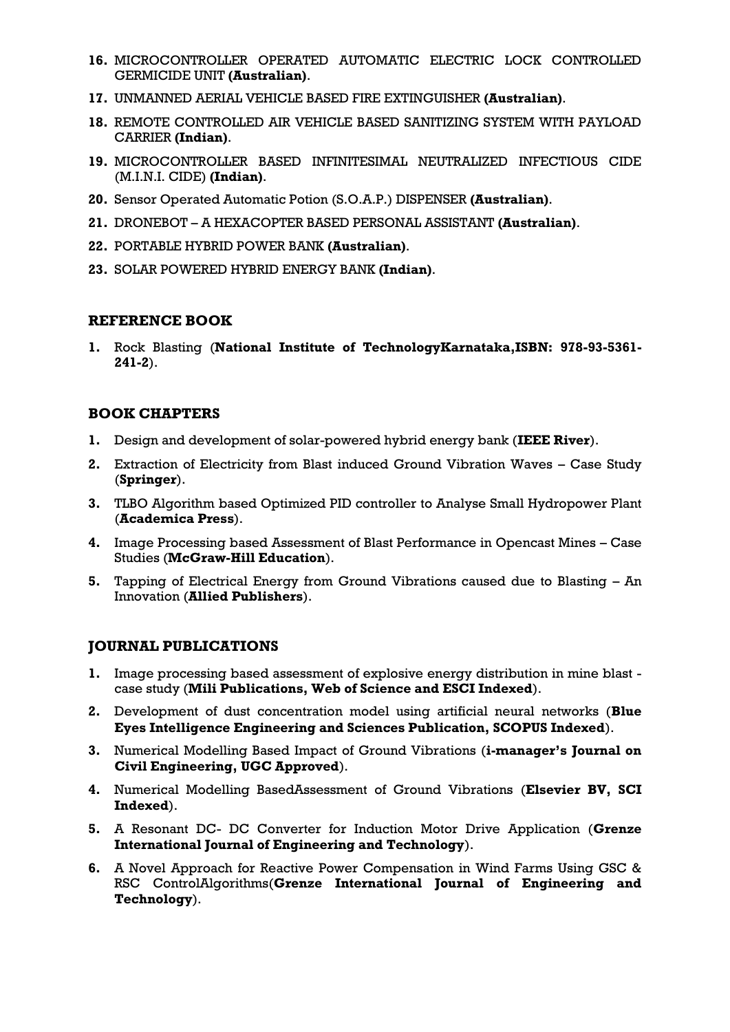- **16.** MICROCONTROLLER OPERATED AUTOMATIC ELECTRIC LOCK CONTROLLED GERMICIDE UNIT **(Australian)**.
- **17.** UNMANNED AERIAL VEHICLE BASED FIRE EXTINGUISHER **(Australian)**.
- **18.** REMOTE CONTROLLED AIR VEHICLE BASED SANITIZING SYSTEM WITH PAYLOAD CARRIER **(Indian)**.
- **19.** MICROCONTROLLER BASED INFINITESIMAL NEUTRALIZED INFECTIOUS CIDE (M.I.N.I. CIDE) **(Indian)**.
- **20.** Sensor Operated Automatic Potion (S.O.A.P.) DISPENSER **(Australian)**.
- **21.** DRONEBOT A HEXACOPTER BASED PERSONAL ASSISTANT **(Australian)**.
- **22.** PORTABLE HYBRID POWER BANK **(Australian)**.
- **23.** SOLAR POWERED HYBRID ENERGY BANK **(Indian)**.

### **REFERENCE BOOK**

**1.** Rock Blasting (**National Institute of TechnologyKarnataka,ISBN: 978-93-5361- 241-2**).

## **BOOK CHAPTERS**

- **1.** Design and development of solar-powered hybrid energy bank (**IEEE River**).
- **2.** Extraction of Electricity from Blast induced Ground Vibration Waves Case Study (**Springer**).
- **3.** TLBO Algorithm based Optimized PID controller to Analyse Small Hydropower Plant (**Academica Press**).
- **4.** Image Processing based Assessment of Blast Performance in Opencast Mines Case Studies (**McGraw-Hill Education**).
- **5.** Tapping of Electrical Energy from Ground Vibrations caused due to Blasting An Innovation (**Allied Publishers**).

## **JOURNAL PUBLICATIONS**

- **1.** Image processing based assessment of explosive energy distribution in mine blast case study (**Mili Publications, Web of Science and ESCI Indexed**).
- **2.** Development of dust concentration model using artificial neural networks (**Blue Eyes Intelligence Engineering and Sciences Publication, SCOPUS Indexed**).
- **3.** Numerical Modelling Based Impact of Ground Vibrations (**i-manager's Journal on Civil Engineering, UGC Approved**).
- **4.** Numerical Modelling BasedAssessment of Ground Vibrations (**Elsevier BV, SCI Indexed**).
- **5.** A Resonant DC- DC Converter for Induction Motor Drive Application (**Grenze International Journal of Engineering and Technology**).
- **6.** A Novel Approach for Reactive Power Compensation in Wind Farms Using GSC & RSC ControlAlgorithms(**Grenze International Journal of Engineering and Technology**).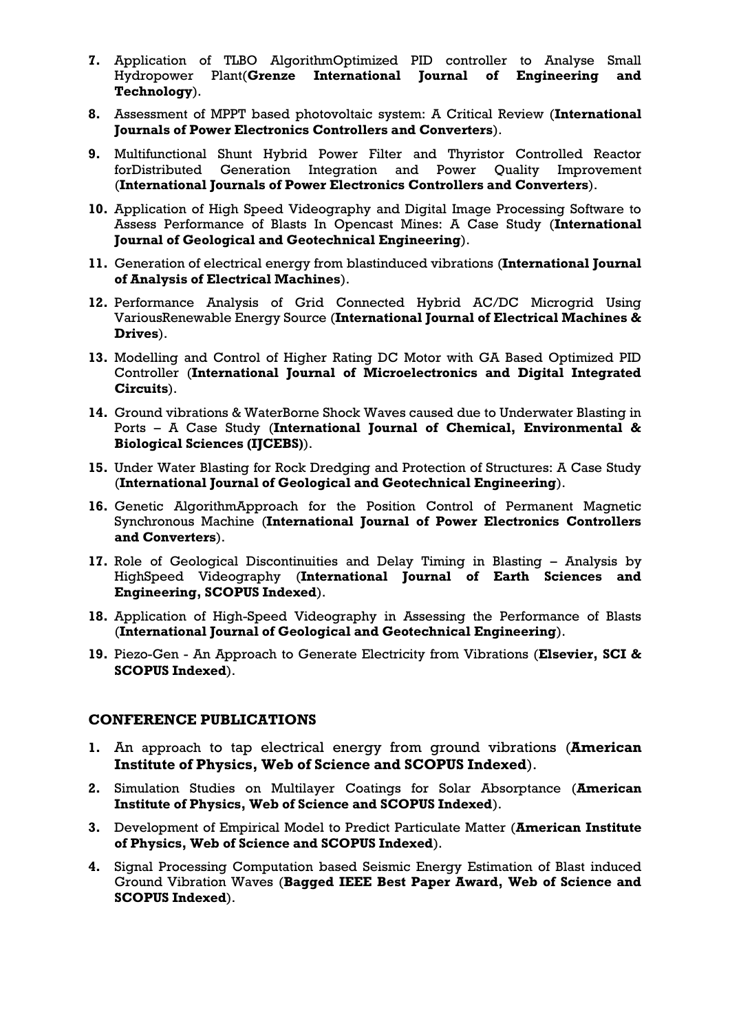- **7.** Application of TLBO AlgorithmOptimized PID controller to Analyse Small Hydropower Plant(**Grenze International Journal of Engineering and Technology**).
- **8.** Assessment of MPPT based photovoltaic system: A Critical Review (**International Journals of Power Electronics Controllers and Converters**).
- **9.** Multifunctional Shunt Hybrid Power Filter and Thyristor Controlled Reactor forDistributed Generation Integration and Power Quality Improvement (**International Journals of Power Electronics Controllers and Converters**).
- **10.** Application of High Speed Videography and Digital Image Processing Software to Assess Performance of Blasts In Opencast Mines: A Case Study (**International Journal of Geological and Geotechnical Engineering**).
- **11.** Generation of electrical energy from blastinduced vibrations (**International Journal of Analysis of Electrical Machines**).
- **12.** Performance Analysis of Grid Connected Hybrid AC/DC Microgrid Using VariousRenewable Energy Source (**International Journal of Electrical Machines & Drives**).
- **13.** Modelling and Control of Higher Rating DC Motor with GA Based Optimized PID Controller (**International Journal of Microelectronics and Digital Integrated Circuits**).
- **14.** Ground vibrations & WaterBorne Shock Waves caused due to Underwater Blasting in Ports – A Case Study (**International Journal of Chemical, Environmental & Biological Sciences (IJCEBS)**).
- **15.** Under Water Blasting for Rock Dredging and Protection of Structures: A Case Study (**International Journal of Geological and Geotechnical Engineering**).
- **16.** Genetic AlgorithmApproach for the Position Control of Permanent Magnetic Synchronous Machine (**International Journal of Power Electronics Controllers and Converters**).
- **17.** Role of Geological Discontinuities and Delay Timing in Blasting Analysis by HighSpeed Videography (**International Journal of Earth Sciences and Engineering, SCOPUS Indexed**).
- **18.** Application of High-Speed Videography in Assessing the Performance of Blasts (**International Journal of Geological and Geotechnical Engineering**).
- **19.** Piezo-Gen An Approach to Generate Electricity from Vibrations (**Elsevier, SCI & SCOPUS Indexed**).

#### **CONFERENCE PUBLICATIONS**

- **1.** An approach to tap electrical energy from ground vibrations (**American Institute of Physics, Web of Science and SCOPUS Indexed**).
- **2.** Simulation Studies on Multilayer Coatings for Solar Absorptance (**American Institute of Physics, Web of Science and SCOPUS Indexed**).
- **3.** Development of Empirical Model to Predict Particulate Matter (**American Institute of Physics, Web of Science and SCOPUS Indexed**).
- **4.** Signal Processing Computation based Seismic Energy Estimation of Blast induced Ground Vibration Waves (**Bagged IEEE Best Paper Award, Web of Science and SCOPUS Indexed**).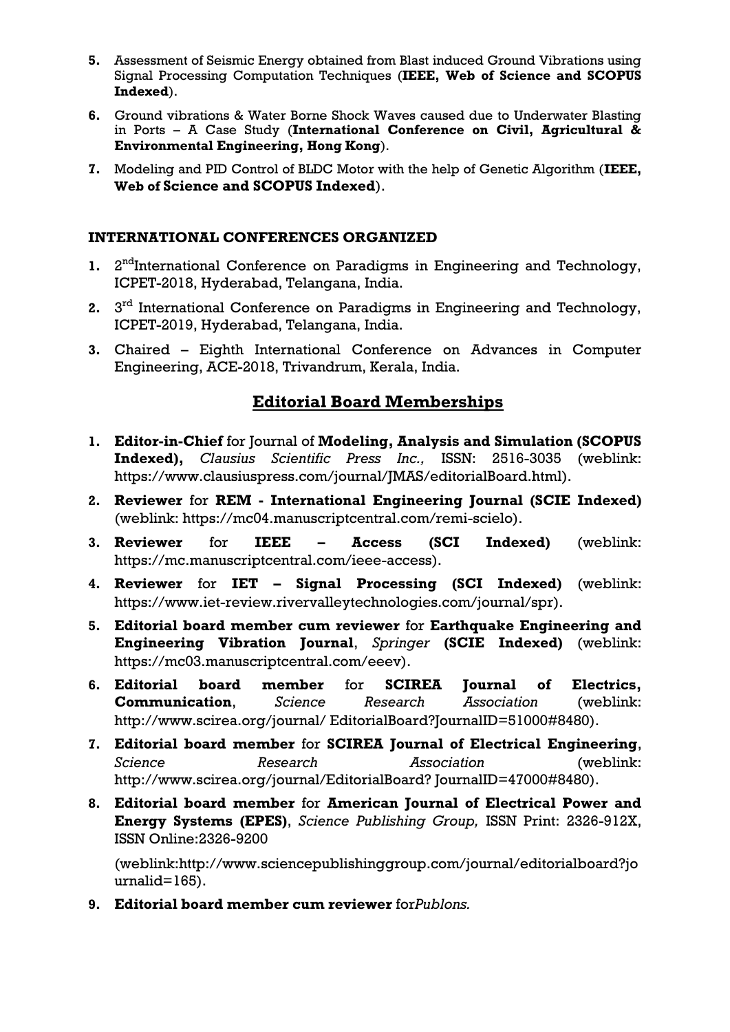- **5.** Assessment of Seismic Energy obtained from Blast induced Ground Vibrations using Signal Processing Computation Techniques (**IEEE, Web of Science and SCOPUS Indexed**).
- **6.** Ground vibrations & Water Borne Shock Waves caused due to Underwater Blasting in Ports – A Case Study (**International Conference on Civil, Agricultural & Environmental Engineering, Hong Kong**).
- **7.** Modeling and PID Control of BLDC Motor with the help of Genetic Algorithm (**IEEE, Web of Science and SCOPUS Indexed**).

## **INTERNATIONAL CONFERENCES ORGANIZED**

- 1. 2<sup>nd</sup>International Conference on Paradigms in Engineering and Technology, ICPET-2018, Hyderabad, Telangana, India.
- **2.** 3 rd International Conference on Paradigms in Engineering and Technology, ICPET-2019, Hyderabad, Telangana, India.
- **3.** Chaired Eighth International Conference on Advances in Computer Engineering, ACE-2018, Trivandrum, Kerala, India.

# **Editorial Board Memberships**

- **1. Editor-in-Chief** for Journal of **Modeling, Analysis and Simulation (SCOPUS Indexed),** *Clausius Scientific Press Inc.,* ISSN: 2516-3035 (weblink: https://www.clausiuspress.com/journal/JMAS/editorialBoard.html).
- **2. Reviewer** for **REM - International Engineering Journal (SCIE Indexed)**  (weblink: https://mc04.manuscriptcentral.com/remi-scielo).
- **3. Reviewer** for **IEEE – Access (SCI Indexed)** (weblink: https://mc.manuscriptcentral.com/ieee-access).
- **4. Reviewer** for **IET – Signal Processing (SCI Indexed)** (weblink: https://www.iet-review.rivervalleytechnologies.com/journal/spr).
- **5. Editorial board member cum reviewer** for **Earthquake Engineering and Engineering Vibration Journal**, *Springer* **(SCIE Indexed)** (weblink: https://mc03.manuscriptcentral.com/eeev).
- **6. Editorial board member** for **SCIREA Journal of Electrics, Communication**, *Science Research Association* (weblink: http://www.scirea.org/journal/ EditorialBoard?JournalID=51000#8480).
- **7. Editorial board member** for **SCIREA Journal of Electrical Engineering**, *Science Research Association* (weblink: http://www.scirea.org/journal/EditorialBoard? JournalID=47000#8480).
- **8. Editorial board member** for **American Journal of Electrical Power and Energy Systems (EPES)**, *Science Publishing Group,* ISSN Print: 2326-912X, ISSN Online:2326-9200

(weblink:http://www.sciencepublishinggroup.com/journal/editorialboard?jo urnalid=165).

**9. Editorial board member cum reviewer** for*Publons.*